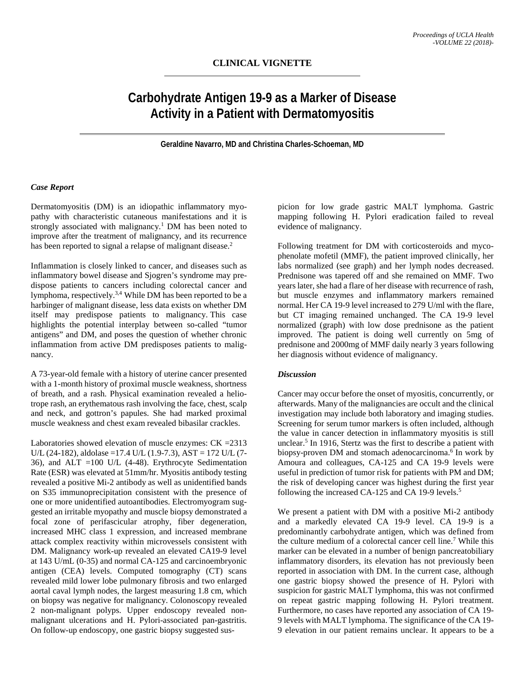# **Carbohydrate Antigen 19-9 as a Marker of Disease Activity in a Patient with Dermatomyositis**

**Geraldine Navarro, MD and Christina Charles-Schoeman, MD**

## *Case Report*

Dermatomyositis (DM) is an idiopathic inflammatory myopathy with characteristic cutaneous manifestations and it is strongly associated with malignancy. <sup>1</sup> DM has been noted to improve after the treatment of malignancy, and its recurrence has been reported to signal a relapse of malignant disease.<sup>2</sup>

Inflammation is closely linked to cancer, and diseases such as inflammatory bowel disease and Sjogren's syndrome may predispose patients to cancers including colorectal cancer and lymphoma, respectively.3,4 While DM has been reported to be a harbinger of malignant disease, less data exists on whether DM itself may predispose patients to malignancy. This case highlights the potential interplay between so-called "tumor antigens" and DM, and poses the question of whether chronic inflammation from active DM predisposes patients to malignancy.

A 73-year-old female with a history of uterine cancer presented with a 1-month history of proximal muscle weakness, shortness of breath, and a rash. Physical examination revealed a heliotrope rash, an erythematous rash involving the face, chest, scalp and neck, and gottron's papules. She had marked proximal muscle weakness and chest exam revealed bibasilar crackles.

Laboratories showed elevation of muscle enzymes: CK =2313 U/L (24-182), aldolase =17.4 U/L (1.9-7.3), AST = 172 U/L (7-36), and ALT =100 U/L (4-48). Erythrocyte Sedimentation Rate (ESR) was elevated at 51mm/hr. Myositis antibody testing revealed a positive Mi-2 antibody as well as unidentified bands on S35 immunoprecipitation consistent with the presence of one or more unidentified autoantibodies. Electromyogram suggested an irritable myopathy and muscle biopsy demonstrated a focal zone of perifascicular atrophy, fiber degeneration, increased MHC class 1 expression, and increased membrane attack complex reactivity within microvessels consistent with DM. Malignancy work-up revealed an elevated CA19-9 level at 143 U/mL (0-35) and normal CA-125 and carcinoembryonic antigen (CEA) levels. Computed tomography (CT) scans revealed mild lower lobe pulmonary fibrosis and two enlarged aortal caval lymph nodes, the largest measuring 1.8 cm, which on biopsy was negative for malignancy. Colonoscopy revealed 2 non-malignant polyps. Upper endoscopy revealed nonmalignant ulcerations and H. Pylori-associated pan-gastritis. On follow-up endoscopy, one gastric biopsy suggested sus-

picion for low grade gastric MALT lymphoma. Gastric mapping following H. Pylori eradication failed to reveal evidence of malignancy.

Following treatment for DM with corticosteroids and mycophenolate mofetil (MMF), the patient improved clinically, her labs normalized (see graph) and her lymph nodes decreased. Prednisone was tapered off and she remained on MMF. Two years later, she had a flare of her disease with recurrence of rash, but muscle enzymes and inflammatory markers remained normal. Her CA 19-9 level increased to 279 U/ml with the flare, but CT imaging remained unchanged. The CA 19-9 level normalized (graph) with low dose prednisone as the patient improved. The patient is doing well currently on 5mg of prednisone and 2000mg of MMF daily nearly 3 years following her diagnosis without evidence of malignancy.

### *Discussion*

Cancer may occur before the onset of myositis, concurrently, or afterwards. Many of the malignancies are occult and the clinical investigation may include both laboratory and imaging studies. Screening for serum tumor markers is often included, although the value in cancer detection in inflammatory myositis is still unclear. <sup>5</sup> In 1916, Stertz was the first to describe a patient with biopsy-proven DM and stomach adenocarcinoma. <sup>6</sup> In work by Amoura and colleagues, CA-125 and CA 19-9 levels were useful in prediction of tumor risk for patients with PM and DM; the risk of developing cancer was highest during the first year following the increased CA-125 and CA 19-9 levels.<sup>5</sup>

We present a patient with DM with a positive Mi-2 antibody and a markedly elevated CA 19-9 level. CA 19-9 is a predominantly carbohydrate antigen, which was defined from the culture medium of a colorectal cancer cell line.7 While this marker can be elevated in a number of benign pancreatobiliary inflammatory disorders, its elevation has not previously been reported in association with DM. In the current case, although one gastric biopsy showed the presence of H. Pylori with suspicion for gastric MALT lymphoma, this was not confirmed on repeat gastric mapping following H. Pylori treatment. Furthermore, no cases have reported any association of CA 19- 9 levels with MALT lymphoma. The significance of the CA 19- 9 elevation in our patient remains unclear. It appears to be a